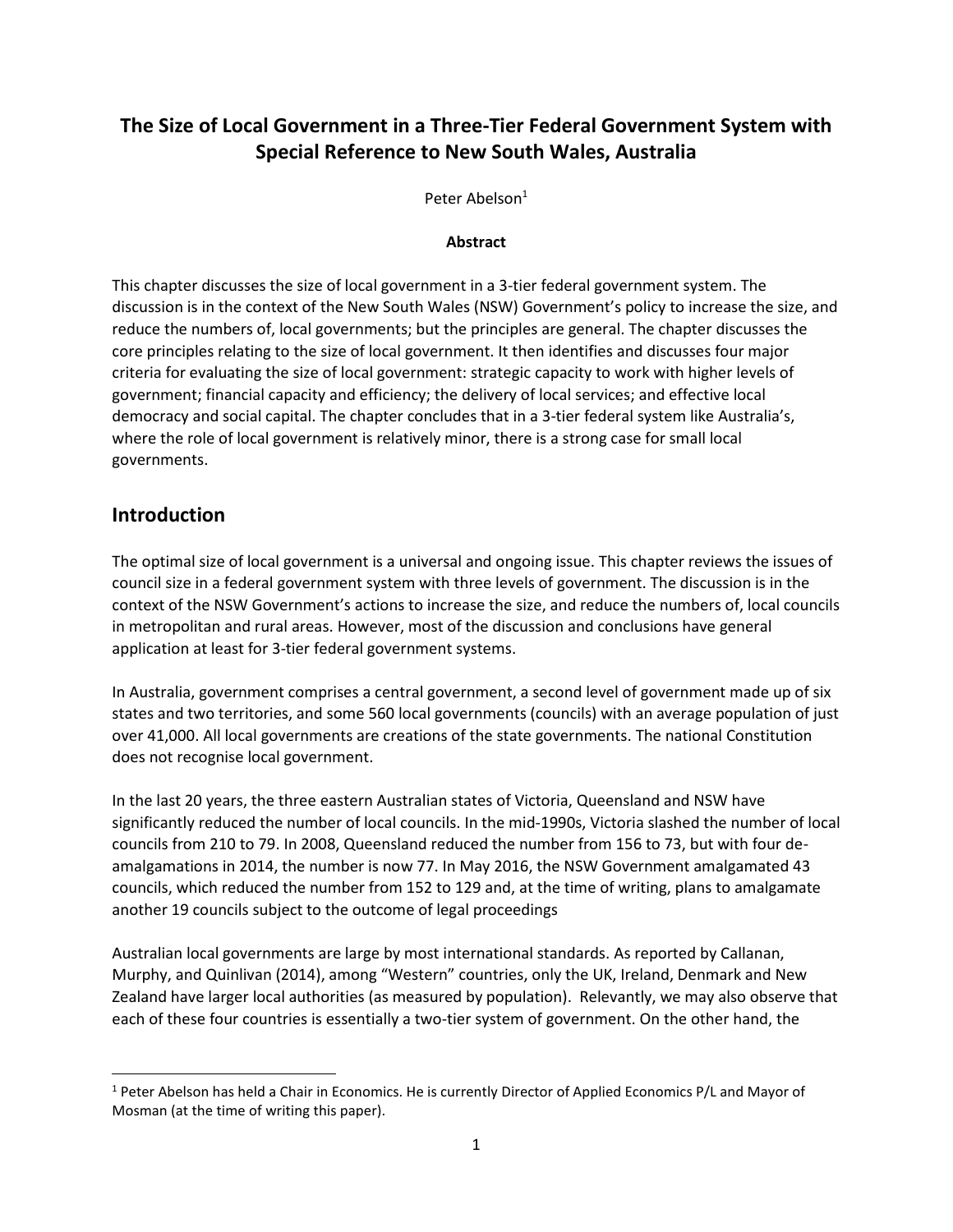# **The Size of Local Government in a Three-Tier Federal Government System with Special Reference to New South Wales, Australia**

Peter Abelson<sup>1</sup>

### **Abstract**

This chapter discusses the size of local government in a 3-tier federal government system. The discussion is in the context of the New South Wales (NSW) Government's policy to increase the size, and reduce the numbers of, local governments; but the principles are general. The chapter discusses the core principles relating to the size of local government. It then identifies and discusses four major criteria for evaluating the size of local government: strategic capacity to work with higher levels of government; financial capacity and efficiency; the delivery of local services; and effective local democracy and social capital. The chapter concludes that in a 3-tier federal system like Australia's, where the role of local government is relatively minor, there is a strong case for small local governments.

### **Introduction**

 $\overline{\phantom{a}}$ 

The optimal size of local government is a universal and ongoing issue. This chapter reviews the issues of council size in a federal government system with three levels of government. The discussion is in the context of the NSW Government's actions to increase the size, and reduce the numbers of, local councils in metropolitan and rural areas. However, most of the discussion and conclusions have general application at least for 3-tier federal government systems.

In Australia, government comprises a central government, a second level of government made up of six states and two territories, and some 560 local governments (councils) with an average population of just over 41,000. All local governments are creations of the state governments. The national Constitution does not recognise local government.

In the last 20 years, the three eastern Australian states of Victoria, Queensland and NSW have significantly reduced the number of local councils. In the mid-1990s, Victoria slashed the number of local councils from 210 to 79. In 2008, Queensland reduced the number from 156 to 73, but with four deamalgamations in 2014, the number is now 77. In May 2016, the NSW Government amalgamated 43 councils, which reduced the number from 152 to 129 and, at the time of writing, plans to amalgamate another 19 councils subject to the outcome of legal proceedings

Australian local governments are large by most international standards. As reported by Callanan, Murphy, and Quinlivan (2014), among "Western" countries, only the UK, Ireland, Denmark and New Zealand have larger local authorities (as measured by population). Relevantly, we may also observe that each of these four countries is essentially a two-tier system of government. On the other hand, the

 $1$  Peter Abelson has held a Chair in Economics. He is currently Director of Applied Economics P/L and Mayor of Mosman (at the time of writing this paper).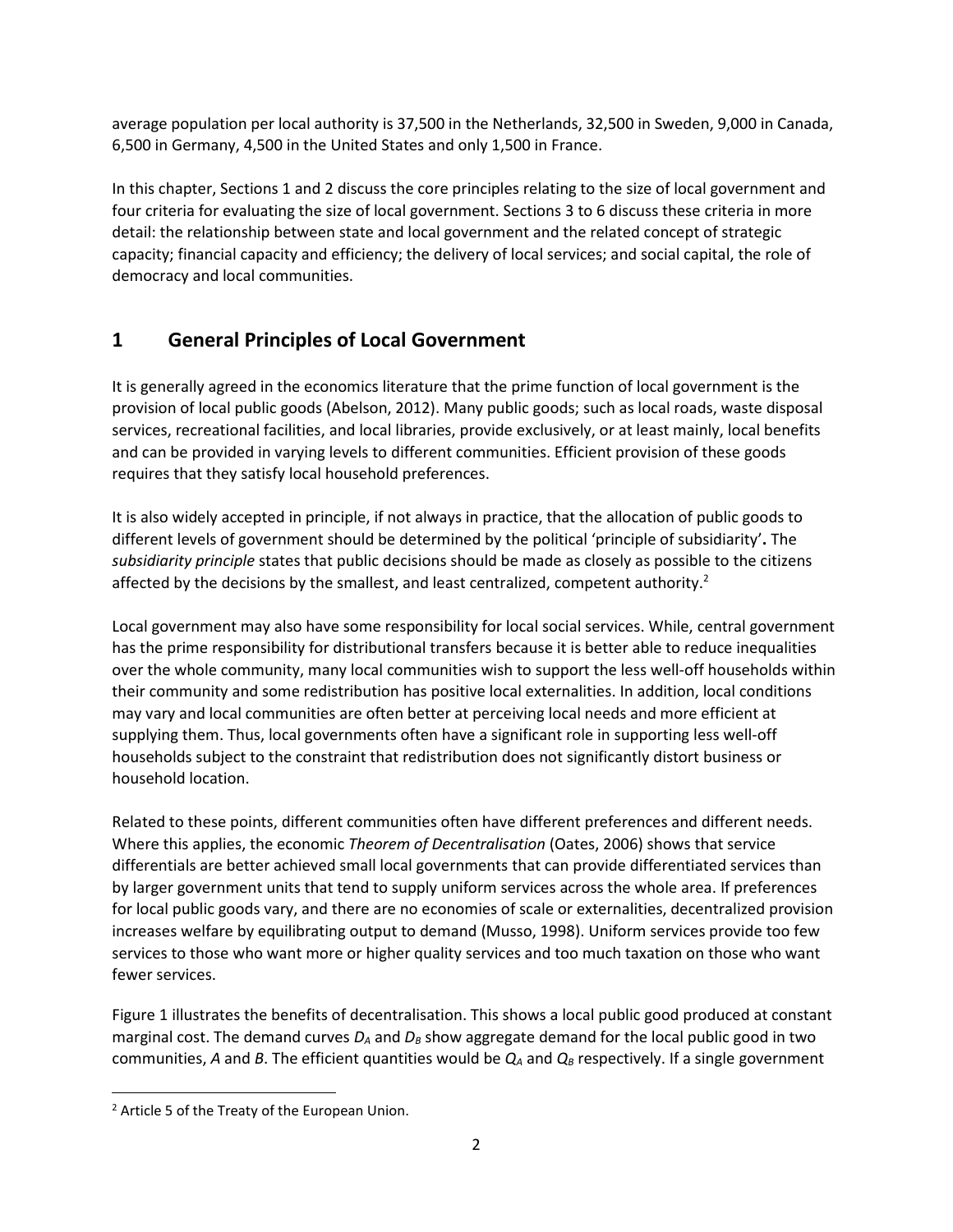average population per local authority is 37,500 in the Netherlands, 32,500 in Sweden, 9,000 in Canada, 6,500 in Germany, 4,500 in the United States and only 1,500 in France.

In this chapter, Sections 1 and 2 discuss the core principles relating to the size of local government and four criteria for evaluating the size of local government. Sections 3 to 6 discuss these criteria in more detail: the relationship between state and local government and the related concept of strategic capacity; financial capacity and efficiency; the delivery of local services; and social capital, the role of democracy and local communities.

# **1 General Principles of Local Government**

It is generally agreed in the economics literature that the prime function of local government is the provision of local public goods (Abelson, 2012). Many public goods; such as local roads, waste disposal services, recreational facilities, and local libraries, provide exclusively, or at least mainly, local benefits and can be provided in varying levels to different communities. Efficient provision of these goods requires that they satisfy local household preferences.

It is also widely accepted in principle, if not always in practice, that the allocation of public goods to different levels of government should be determined by the political 'principle of subsidiarity'**.** The *subsidiarity principle* states that public decisions should be made as closely as possible to the citizens affected by the decisions by the smallest, and least centralized, competent authority.<sup>2</sup>

Local government may also have some responsibility for local social services. While, central government has the prime responsibility for distributional transfers because it is better able to reduce inequalities over the whole community, many local communities wish to support the less well-off households within their community and some redistribution has positive local externalities. In addition, local conditions may vary and local communities are often better at perceiving local needs and more efficient at supplying them. Thus, local governments often have a significant role in supporting less well-off households subject to the constraint that redistribution does not significantly distort business or household location.

Related to these points, different communities often have different preferences and different needs. Where this applies, the economic *Theorem of Decentralisation* (Oates, 2006) shows that service differentials are better achieved small local governments that can provide differentiated services than by larger government units that tend to supply uniform services across the whole area. If preferences for local public goods vary, and there are no economies of scale or externalities, decentralized provision increases welfare by equilibrating output to demand (Musso, 1998). Uniform services provide too few services to those who want more or higher quality services and too much taxation on those who want fewer services.

Figure 1 illustrates the benefits of decentralisation. This shows a local public good produced at constant marginal cost. The demand curves *D<sup>A</sup>* and *D<sup>B</sup>* show aggregate demand for the local public good in two communities, *A* and *B*. The efficient quantities would be *Q<sup>A</sup>* and *Q<sup>B</sup>* respectively. If a single government

 $\overline{\phantom{a}}$ 

<sup>&</sup>lt;sup>2</sup> Article 5 of the Treaty of the European Union.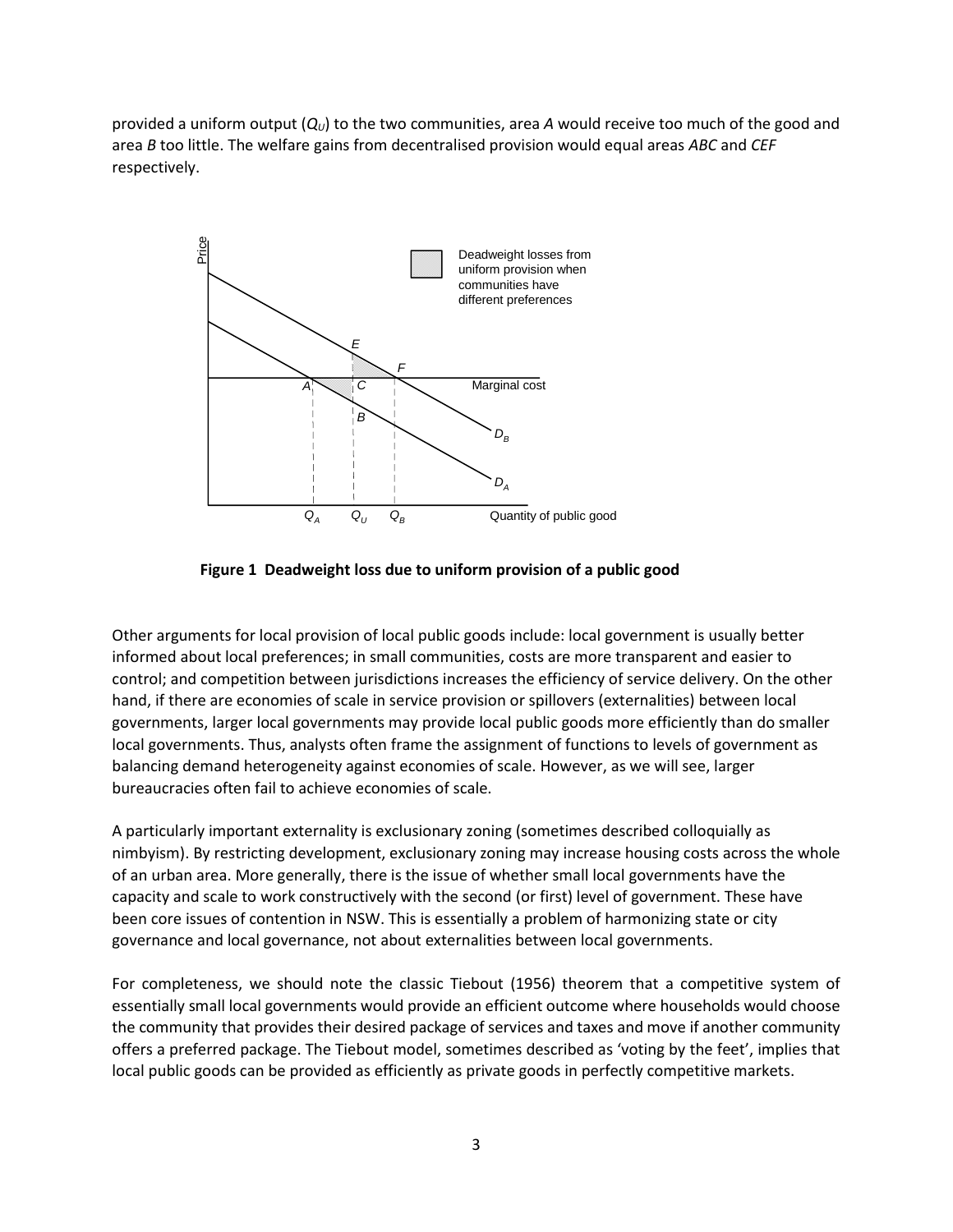provided a uniform output  $(Q<sub>U</sub>)$  to the two communities, area A would receive too much of the good and area *B* too little. The welfare gains from decentralised provision would equal areas *ABC* and *CEF* respectively.





Other arguments for local provision of local public goods include: local government is usually better informed about local preferences; in small communities, costs are more transparent and easier to control; and competition between jurisdictions increases the efficiency of service delivery. On the other hand, if there are economies of scale in service provision or spillovers (externalities) between local governments, larger local governments may provide local public goods more efficiently than do smaller local governments. Thus, analysts often frame the assignment of functions to levels of government as balancing demand heterogeneity against economies of scale. However, as we will see, larger bureaucracies often fail to achieve economies of scale.

A particularly important externality is exclusionary zoning (sometimes described colloquially as nimbyism). By restricting development, exclusionary zoning may increase housing costs across the whole of an urban area. More generally, there is the issue of whether small local governments have the capacity and scale to work constructively with the second (or first) level of government. These have been core issues of contention in NSW. This is essentially a problem of harmonizing state or city governance and local governance, not about externalities between local governments.

For completeness, we should note the classic Tiebout (1956) theorem that a competitive system of essentially small local governments would provide an efficient outcome where households would choose the community that provides their desired package of services and taxes and move if another community offers a preferred package. The Tiebout model, sometimes described as 'voting by the feet', implies that local public goods can be provided as efficiently as private goods in perfectly competitive markets.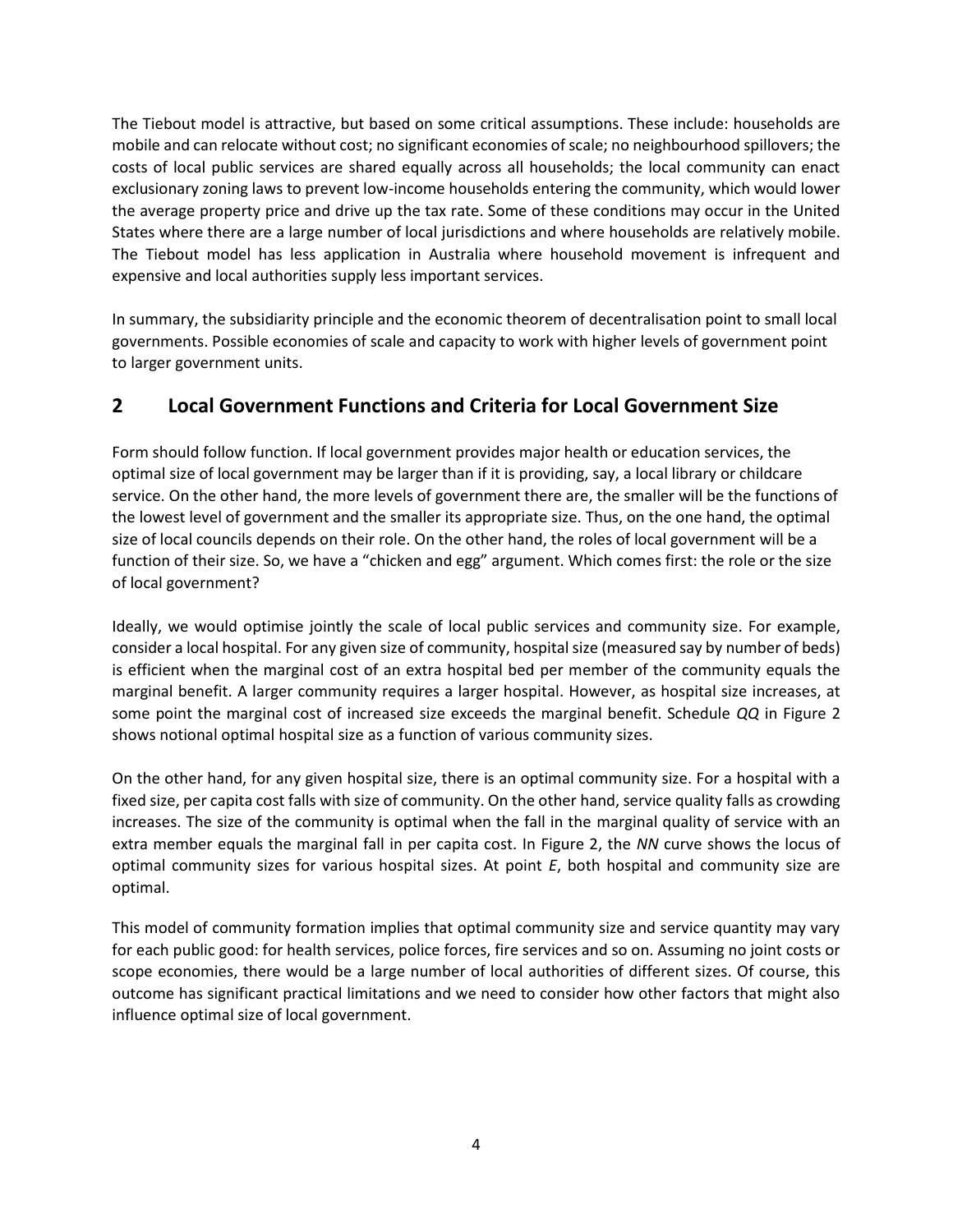The Tiebout model is attractive, but based on some critical assumptions. These include: households are mobile and can relocate without cost; no significant economies of scale; no neighbourhood spillovers; the costs of local public services are shared equally across all households; the local community can enact exclusionary zoning laws to prevent low-income households entering the community, which would lower the average property price and drive up the tax rate. Some of these conditions may occur in the United States where there are a large number of local jurisdictions and where households are relatively mobile. The Tiebout model has less application in Australia where household movement is infrequent and expensive and local authorities supply less important services.

In summary, the subsidiarity principle and the economic theorem of decentralisation point to small local governments. Possible economies of scale and capacity to work with higher levels of government point to larger government units.

### **2 Local Government Functions and Criteria for Local Government Size**

Form should follow function. If local government provides major health or education services, the optimal size of local government may be larger than if it is providing, say, a local library or childcare service. On the other hand, the more levels of government there are, the smaller will be the functions of the lowest level of government and the smaller its appropriate size. Thus, on the one hand, the optimal size of local councils depends on their role. On the other hand, the roles of local government will be a function of their size. So, we have a "chicken and egg" argument. Which comes first: the role or the size of local government?

Ideally, we would optimise jointly the scale of local public services and community size. For example, consider a local hospital. For any given size of community, hospital size (measured say by number of beds) is efficient when the marginal cost of an extra hospital bed per member of the community equals the marginal benefit. A larger community requires a larger hospital. However, as hospital size increases, at some point the marginal cost of increased size exceeds the marginal benefit. Schedule *QQ* in Figure 2 shows notional optimal hospital size as a function of various community sizes.

On the other hand, for any given hospital size, there is an optimal community size. For a hospital with a fixed size, per capita cost falls with size of community. On the other hand, service quality falls as crowding increases. The size of the community is optimal when the fall in the marginal quality of service with an extra member equals the marginal fall in per capita cost. In Figure 2, the *NN* curve shows the locus of optimal community sizes for various hospital sizes. At point *E*, both hospital and community size are optimal.

This model of community formation implies that optimal community size and service quantity may vary for each public good: for health services, police forces, fire services and so on. Assuming no joint costs or scope economies, there would be a large number of local authorities of different sizes. Of course, this outcome has significant practical limitations and we need to consider how other factors that might also influence optimal size of local government.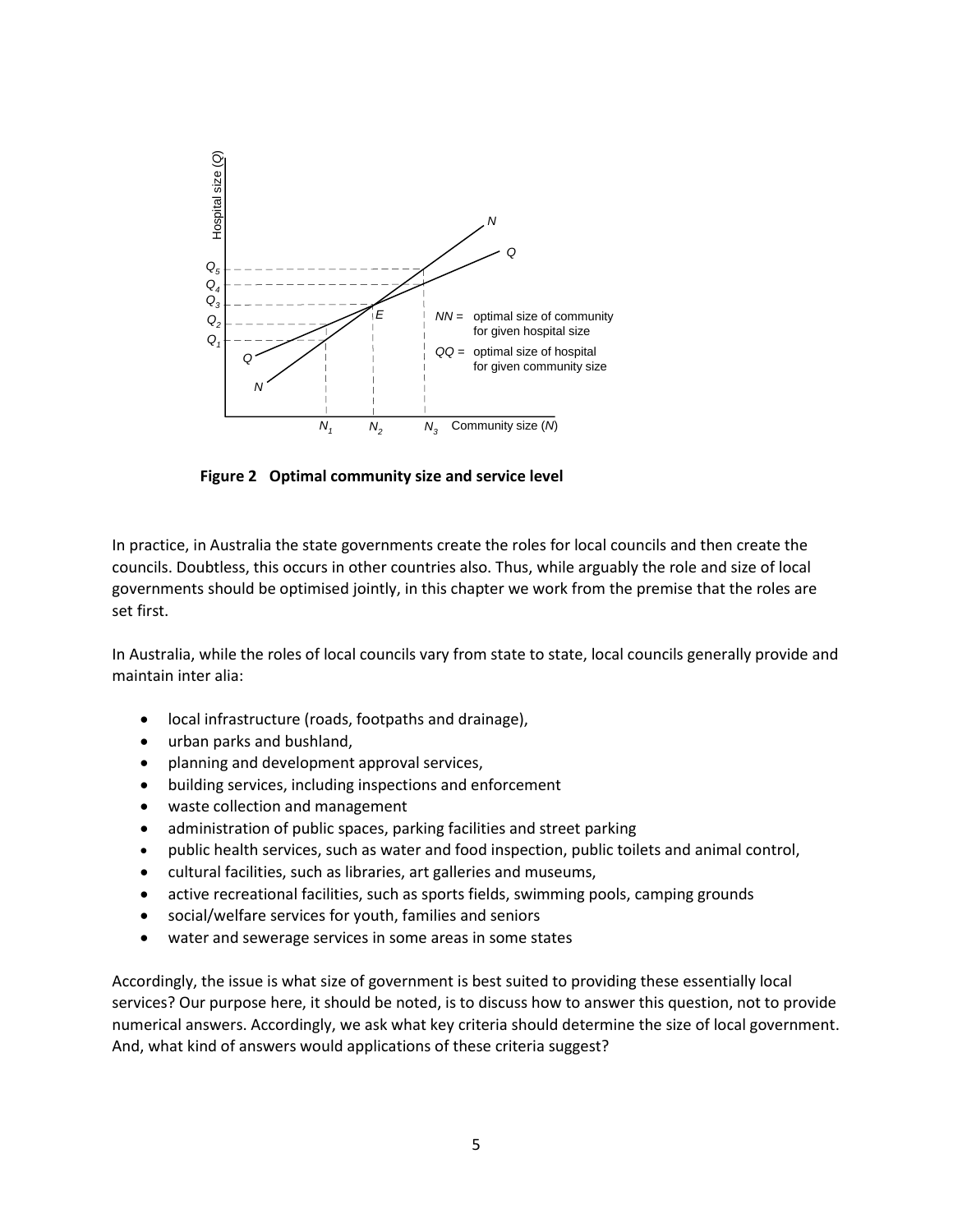

**Figure 2 Optimal community size and service level**

In practice, in Australia the state governments create the roles for local councils and then create the councils. Doubtless, this occurs in other countries also. Thus, while arguably the role and size of local governments should be optimised jointly, in this chapter we work from the premise that the roles are set first.

In Australia, while the roles of local councils vary from state to state, local councils generally provide and maintain inter alia:

- local infrastructure (roads, footpaths and drainage),
- urban parks and bushland,
- planning and development approval services,
- building services, including inspections and enforcement
- waste collection and management
- administration of public spaces, parking facilities and street parking
- public health services, such as water and food inspection, public toilets and animal control,
- cultural facilities, such as libraries, art galleries and museums,
- active recreational facilities, such as sports fields, swimming pools, camping grounds
- social/welfare services for youth, families and seniors
- water and sewerage services in some areas in some states

Accordingly, the issue is what size of government is best suited to providing these essentially local services? Our purpose here, it should be noted, is to discuss how to answer this question, not to provide numerical answers. Accordingly, we ask what key criteria should determine the size of local government. And, what kind of answers would applications of these criteria suggest?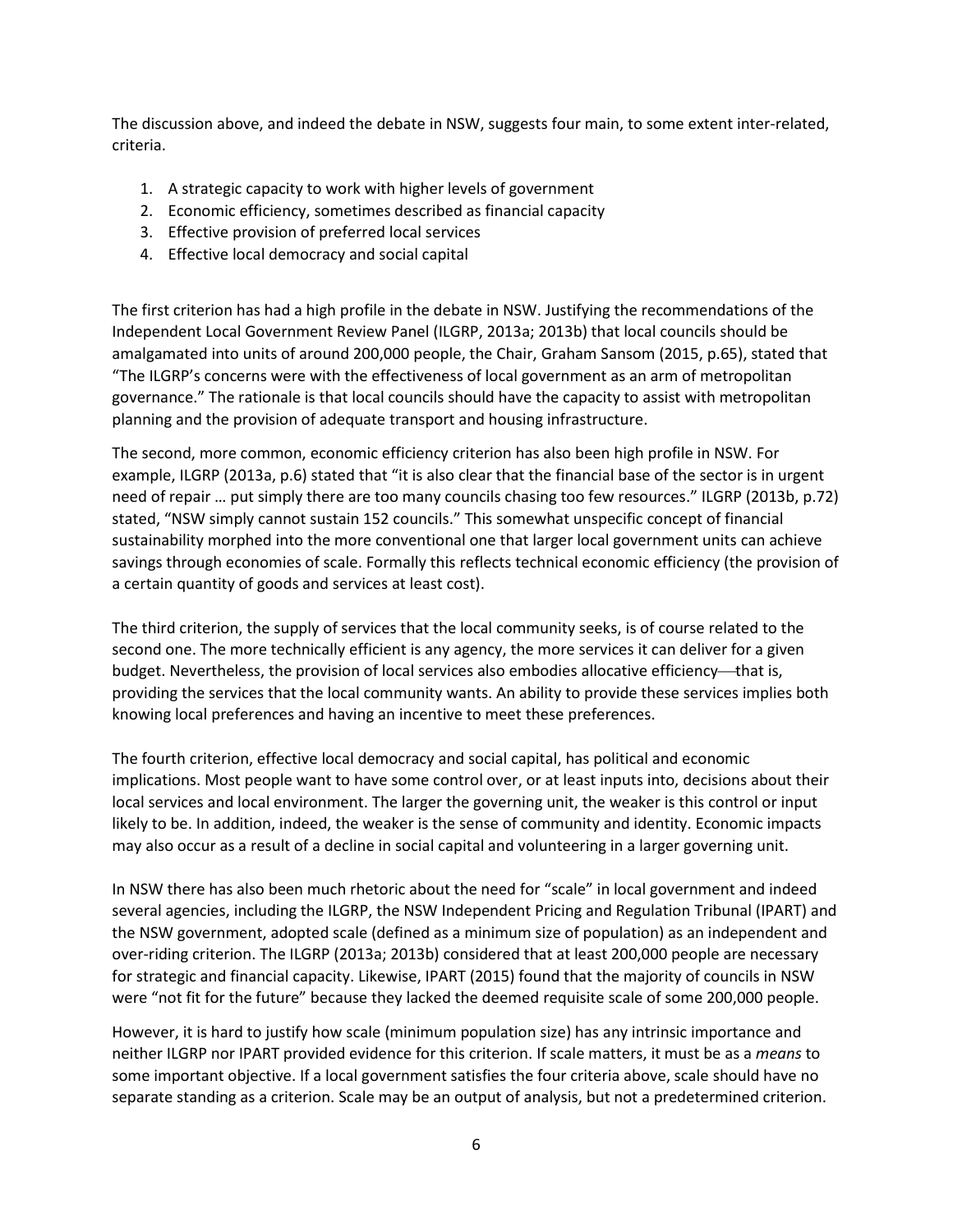The discussion above, and indeed the debate in NSW, suggests four main, to some extent inter-related, criteria.

- 1. A strategic capacity to work with higher levels of government
- 2. Economic efficiency, sometimes described as financial capacity
- 3. Effective provision of preferred local services
- 4. Effective local democracy and social capital

The first criterion has had a high profile in the debate in NSW. Justifying the recommendations of the Independent Local Government Review Panel (ILGRP, 2013a; 2013b) that local councils should be amalgamated into units of around 200,000 people, the Chair, Graham Sansom (2015, p.65), stated that "The ILGRP's concerns were with the effectiveness of local government as an arm of metropolitan governance." The rationale is that local councils should have the capacity to assist with metropolitan planning and the provision of adequate transport and housing infrastructure.

The second, more common, economic efficiency criterion has also been high profile in NSW. For example, ILGRP (2013a, p.6) stated that "it is also clear that the financial base of the sector is in urgent need of repair … put simply there are too many councils chasing too few resources." ILGRP (2013b, p.72) stated, "NSW simply cannot sustain 152 councils." This somewhat unspecific concept of financial sustainability morphed into the more conventional one that larger local government units can achieve savings through economies of scale. Formally this reflects technical economic efficiency (the provision of a certain quantity of goods and services at least cost).

The third criterion, the supply of services that the local community seeks, is of course related to the second one. The more technically efficient is any agency, the more services it can deliver for a given budget. Nevertheless, the provision of local services also embodies allocative efficiency—that is, providing the services that the local community wants. An ability to provide these services implies both knowing local preferences and having an incentive to meet these preferences.

The fourth criterion, effective local democracy and social capital, has political and economic implications. Most people want to have some control over, or at least inputs into, decisions about their local services and local environment. The larger the governing unit, the weaker is this control or input likely to be. In addition, indeed, the weaker is the sense of community and identity. Economic impacts may also occur as a result of a decline in social capital and volunteering in a larger governing unit.

In NSW there has also been much rhetoric about the need for "scale" in local government and indeed several agencies, including the ILGRP, the NSW Independent Pricing and Regulation Tribunal (IPART) and the NSW government, adopted scale (defined as a minimum size of population) as an independent and over-riding criterion. The ILGRP (2013a; 2013b) considered that at least 200,000 people are necessary for strategic and financial capacity. Likewise, IPART (2015) found that the majority of councils in NSW were "not fit for the future" because they lacked the deemed requisite scale of some 200,000 people.

However, it is hard to justify how scale (minimum population size) has any intrinsic importance and neither ILGRP nor IPART provided evidence for this criterion. If scale matters, it must be as a *means* to some important objective. If a local government satisfies the four criteria above, scale should have no separate standing as a criterion. Scale may be an output of analysis, but not a predetermined criterion.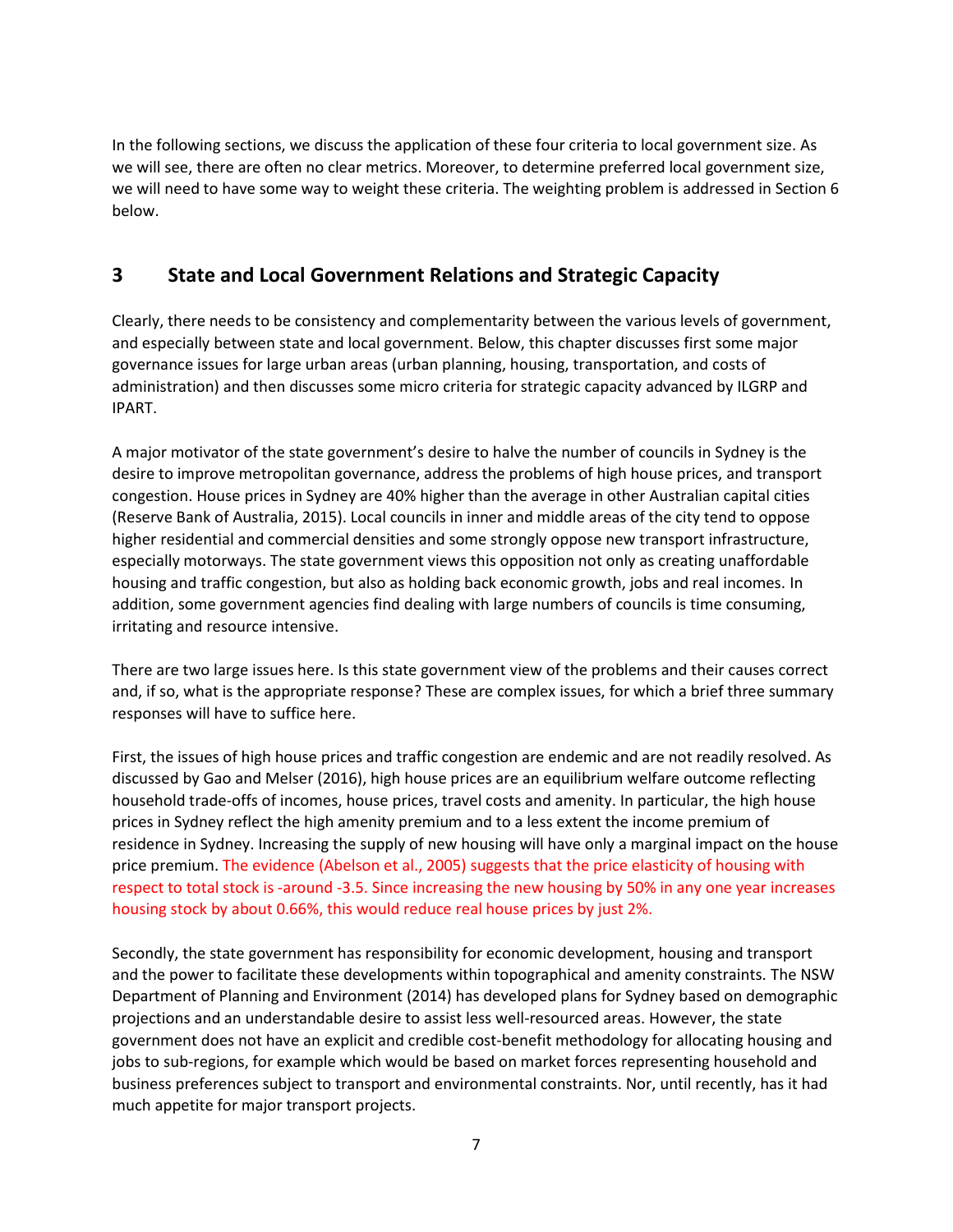In the following sections, we discuss the application of these four criteria to local government size. As we will see, there are often no clear metrics. Moreover, to determine preferred local government size, we will need to have some way to weight these criteria. The weighting problem is addressed in Section 6 below.

# **3 State and Local Government Relations and Strategic Capacity**

Clearly, there needs to be consistency and complementarity between the various levels of government, and especially between state and local government. Below, this chapter discusses first some major governance issues for large urban areas (urban planning, housing, transportation, and costs of administration) and then discusses some micro criteria for strategic capacity advanced by ILGRP and IPART.

A major motivator of the state government's desire to halve the number of councils in Sydney is the desire to improve metropolitan governance, address the problems of high house prices, and transport congestion. House prices in Sydney are 40% higher than the average in other Australian capital cities (Reserve Bank of Australia, 2015). Local councils in inner and middle areas of the city tend to oppose higher residential and commercial densities and some strongly oppose new transport infrastructure, especially motorways. The state government views this opposition not only as creating unaffordable housing and traffic congestion, but also as holding back economic growth, jobs and real incomes. In addition, some government agencies find dealing with large numbers of councils is time consuming, irritating and resource intensive.

There are two large issues here. Is this state government view of the problems and their causes correct and, if so, what is the appropriate response? These are complex issues, for which a brief three summary responses will have to suffice here.

First, the issues of high house prices and traffic congestion are endemic and are not readily resolved. As discussed by Gao and Melser (2016), high house prices are an equilibrium welfare outcome reflecting household trade-offs of incomes, house prices, travel costs and amenity. In particular, the high house prices in Sydney reflect the high amenity premium and to a less extent the income premium of residence in Sydney. Increasing the supply of new housing will have only a marginal impact on the house price premium. The evidence (Abelson et al., 2005) suggests that the price elasticity of housing with respect to total stock is -around -3.5. Since increasing the new housing by 50% in any one year increases housing stock by about 0.66%, this would reduce real house prices by just 2%.

Secondly, the state government has responsibility for economic development, housing and transport and the power to facilitate these developments within topographical and amenity constraints. The NSW Department of Planning and Environment (2014) has developed plans for Sydney based on demographic projections and an understandable desire to assist less well-resourced areas. However, the state government does not have an explicit and credible cost-benefit methodology for allocating housing and jobs to sub-regions, for example which would be based on market forces representing household and business preferences subject to transport and environmental constraints. Nor, until recently, has it had much appetite for major transport projects.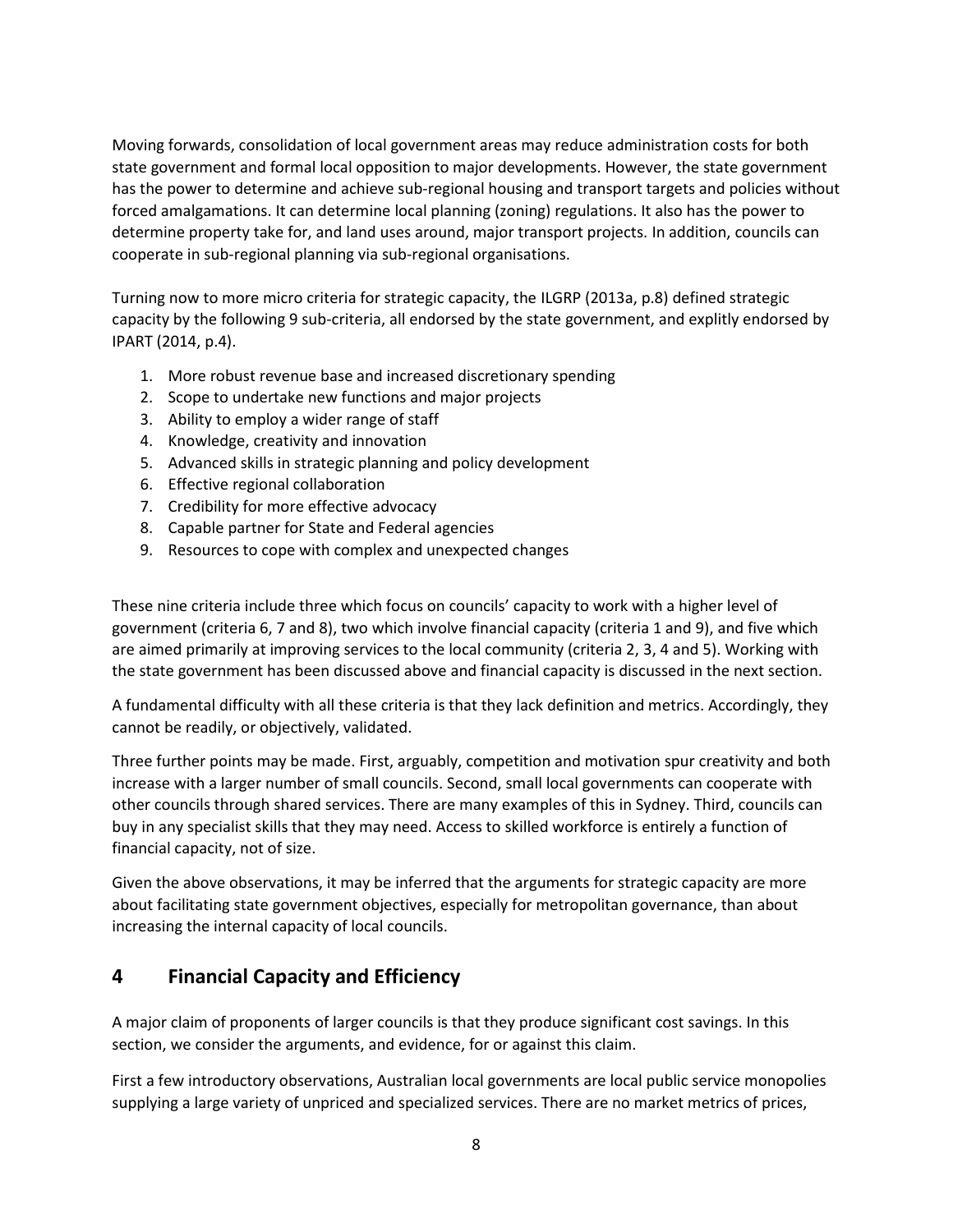Moving forwards, consolidation of local government areas may reduce administration costs for both state government and formal local opposition to major developments. However, the state government has the power to determine and achieve sub-regional housing and transport targets and policies without forced amalgamations. It can determine local planning (zoning) regulations. It also has the power to determine property take for, and land uses around, major transport projects. In addition, councils can cooperate in sub-regional planning via sub-regional organisations.

Turning now to more micro criteria for strategic capacity, the ILGRP (2013a, p.8) defined strategic capacity by the following 9 sub-criteria, all endorsed by the state government, and explitly endorsed by IPART (2014, p.4).

- 1. More robust revenue base and increased discretionary spending
- 2. Scope to undertake new functions and major projects
- 3. Ability to employ a wider range of staff
- 4. Knowledge, creativity and innovation
- 5. Advanced skills in strategic planning and policy development
- 6. Effective regional collaboration
- 7. Credibility for more effective advocacy
- 8. Capable partner for State and Federal agencies
- 9. Resources to cope with complex and unexpected changes

These nine criteria include three which focus on councils' capacity to work with a higher level of government (criteria 6, 7 and 8), two which involve financial capacity (criteria 1 and 9), and five which are aimed primarily at improving services to the local community (criteria 2, 3, 4 and 5). Working with the state government has been discussed above and financial capacity is discussed in the next section.

A fundamental difficulty with all these criteria is that they lack definition and metrics. Accordingly, they cannot be readily, or objectively, validated.

Three further points may be made. First, arguably, competition and motivation spur creativity and both increase with a larger number of small councils. Second, small local governments can cooperate with other councils through shared services. There are many examples of this in Sydney. Third, councils can buy in any specialist skills that they may need. Access to skilled workforce is entirely a function of financial capacity, not of size.

Given the above observations, it may be inferred that the arguments for strategic capacity are more about facilitating state government objectives, especially for metropolitan governance, than about increasing the internal capacity of local councils.

## **4 Financial Capacity and Efficiency**

A major claim of proponents of larger councils is that they produce significant cost savings. In this section, we consider the arguments, and evidence, for or against this claim.

First a few introductory observations, Australian local governments are local public service monopolies supplying a large variety of unpriced and specialized services. There are no market metrics of prices,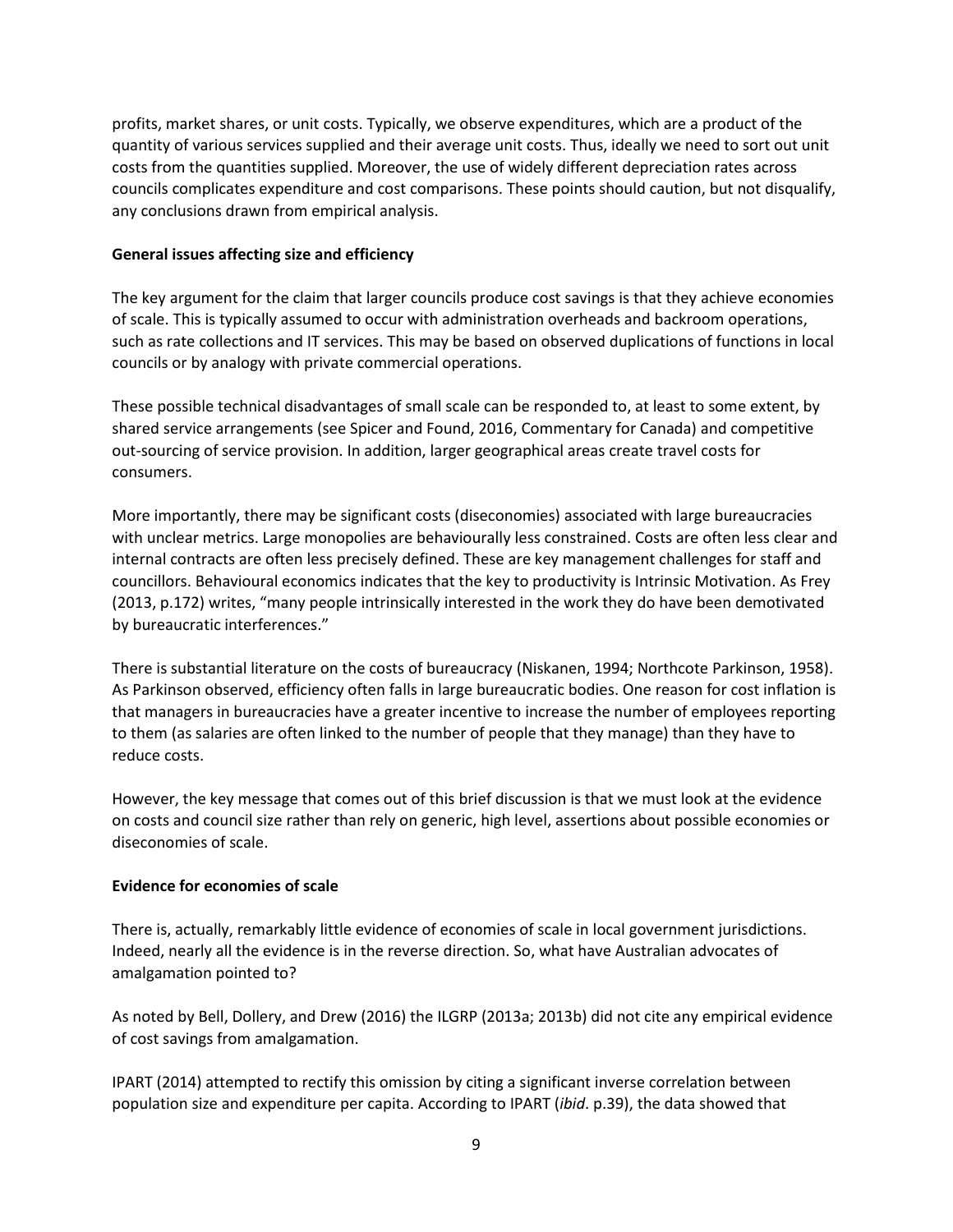profits, market shares, or unit costs. Typically, we observe expenditures, which are a product of the quantity of various services supplied and their average unit costs. Thus, ideally we need to sort out unit costs from the quantities supplied. Moreover, the use of widely different depreciation rates across councils complicates expenditure and cost comparisons. These points should caution, but not disqualify, any conclusions drawn from empirical analysis.

#### **General issues affecting size and efficiency**

The key argument for the claim that larger councils produce cost savings is that they achieve economies of scale. This is typically assumed to occur with administration overheads and backroom operations, such as rate collections and IT services. This may be based on observed duplications of functions in local councils or by analogy with private commercial operations.

These possible technical disadvantages of small scale can be responded to, at least to some extent, by shared service arrangements (see Spicer and Found, 2016, Commentary for Canada) and competitive out-sourcing of service provision. In addition, larger geographical areas create travel costs for consumers.

More importantly, there may be significant costs (diseconomies) associated with large bureaucracies with unclear metrics. Large monopolies are behaviourally less constrained. Costs are often less clear and internal contracts are often less precisely defined. These are key management challenges for staff and councillors. Behavioural economics indicates that the key to productivity is Intrinsic Motivation. As Frey (2013, p.172) writes, "many people intrinsically interested in the work they do have been demotivated by bureaucratic interferences."

There is substantial literature on the costs of bureaucracy (Niskanen, 1994; Northcote Parkinson, 1958). As Parkinson observed, efficiency often falls in large bureaucratic bodies. One reason for cost inflation is that managers in bureaucracies have a greater incentive to increase the number of employees reporting to them (as salaries are often linked to the number of people that they manage) than they have to reduce costs.

However, the key message that comes out of this brief discussion is that we must look at the evidence on costs and council size rather than rely on generic, high level, assertions about possible economies or diseconomies of scale.

### **Evidence for economies of scale**

There is, actually, remarkably little evidence of economies of scale in local government jurisdictions. Indeed, nearly all the evidence is in the reverse direction. So, what have Australian advocates of amalgamation pointed to?

As noted by Bell, Dollery, and Drew (2016) the ILGRP (2013a; 2013b) did not cite any empirical evidence of cost savings from amalgamation.

IPART (2014) attempted to rectify this omission by citing a significant inverse correlation between population size and expenditure per capita. According to IPART (*ibid*. p.39), the data showed that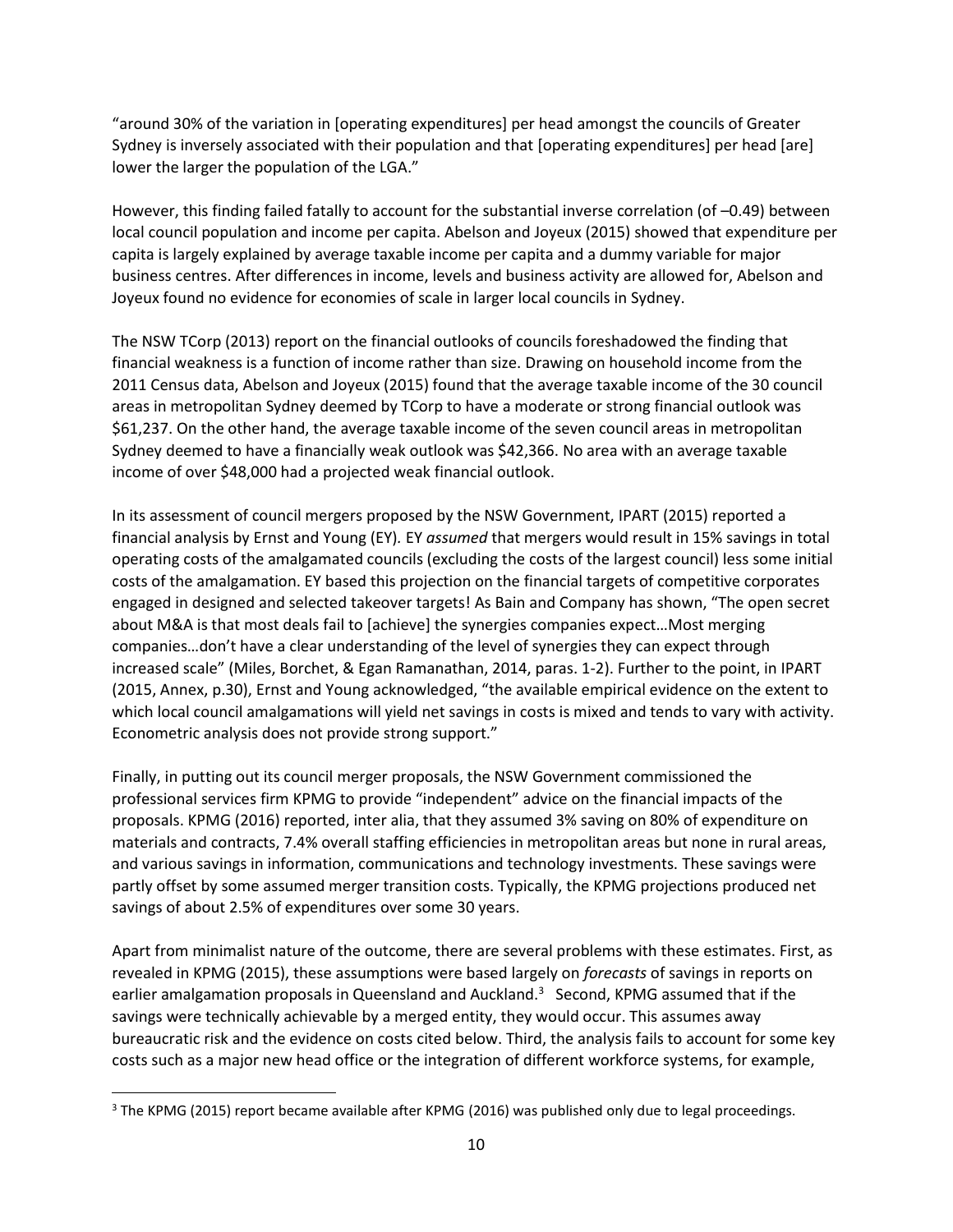"around 30% of the variation in [operating expenditures] per head amongst the councils of Greater Sydney is inversely associated with their population and that [operating expenditures] per head [are] lower the larger the population of the LGA."

However, this finding failed fatally to account for the substantial inverse correlation (of –0.49) between local council population and income per capita. Abelson and Joyeux (2015) showed that expenditure per capita is largely explained by average taxable income per capita and a dummy variable for major business centres. After differences in income, levels and business activity are allowed for, Abelson and Joyeux found no evidence for economies of scale in larger local councils in Sydney.

The NSW TCorp (2013) report on the financial outlooks of councils foreshadowed the finding that financial weakness is a function of income rather than size. Drawing on household income from the 2011 Census data, Abelson and Joyeux (2015) found that the average taxable income of the 30 council areas in metropolitan Sydney deemed by TCorp to have a moderate or strong financial outlook was \$61,237. On the other hand, the average taxable income of the seven council areas in metropolitan Sydney deemed to have a financially weak outlook was \$42,366. No area with an average taxable income of over \$48,000 had a projected weak financial outlook.

In its assessment of council mergers proposed by the NSW Government, IPART (2015) reported a financial analysis by Ernst and Young (EY)*.* EY *assumed* that mergers would result in 15% savings in total operating costs of the amalgamated councils (excluding the costs of the largest council) less some initial costs of the amalgamation. EY based this projection on the financial targets of competitive corporates engaged in designed and selected takeover targets! As Bain and Company has shown, "The open secret about M&A is that most deals fail to [achieve] the synergies companies expect…Most merging companies…don't have a clear understanding of the level of synergies they can expect through increased scale" (Miles, Borchet, & Egan Ramanathan, 2014, paras. 1-2). Further to the point, in IPART (2015, Annex, p.30), Ernst and Young acknowledged, "the available empirical evidence on the extent to which local council amalgamations will yield net savings in costs is mixed and tends to vary with activity. Econometric analysis does not provide strong support."

Finally, in putting out its council merger proposals, the NSW Government commissioned the professional services firm KPMG to provide "independent" advice on the financial impacts of the proposals. KPMG (2016) reported, inter alia, that they assumed 3% saving on 80% of expenditure on materials and contracts, 7.4% overall staffing efficiencies in metropolitan areas but none in rural areas, and various savings in information, communications and technology investments. These savings were partly offset by some assumed merger transition costs. Typically, the KPMG projections produced net savings of about 2.5% of expenditures over some 30 years.

Apart from minimalist nature of the outcome, there are several problems with these estimates. First, as revealed in KPMG (2015), these assumptions were based largely on *forecasts* of savings in reports on earlier amalgamation proposals in Queensland and Auckland.<sup>3</sup> Second, KPMG assumed that if the savings were technically achievable by a merged entity, they would occur. This assumes away bureaucratic risk and the evidence on costs cited below. Third, the analysis fails to account for some key costs such as a major new head office or the integration of different workforce systems, for example,

 $\overline{\phantom{a}}$ 

<sup>&</sup>lt;sup>3</sup> The KPMG (2015) report became available after KPMG (2016) was published only due to legal proceedings.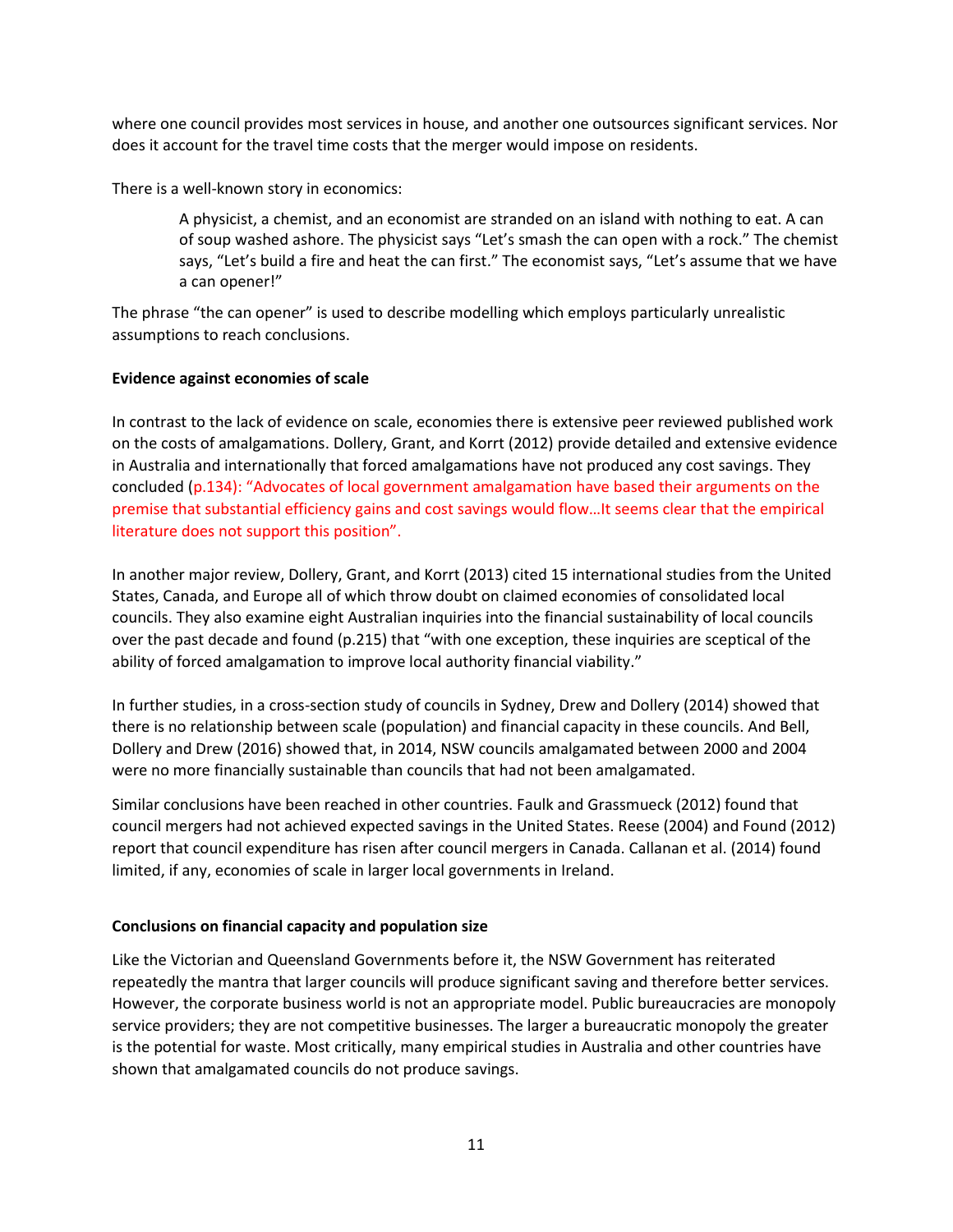where one council provides most services in house, and another one outsources significant services. Nor does it account for the travel time costs that the merger would impose on residents.

There is a well-known story in economics:

A physicist, a chemist, and an economist are stranded on an island with nothing to eat. A can of soup washed ashore. The physicist says "Let's smash the can open with a rock." The chemist says, "Let's build a fire and heat the can first." The economist says, "Let's assume that we have a can opener!"

The phrase "the can opener" is used to describe modelling which employs particularly unrealistic assumptions to reach conclusions.

#### **Evidence against economies of scale**

In contrast to the lack of evidence on scale, economies there is extensive peer reviewed published work on the costs of amalgamations. Dollery, Grant, and Korrt (2012) provide detailed and extensive evidence in Australia and internationally that forced amalgamations have not produced any cost savings. They concluded (p.134): "Advocates of local government amalgamation have based their arguments on the premise that substantial efficiency gains and cost savings would flow…It seems clear that the empirical literature does not support this position".

In another major review, Dollery, Grant, and Korrt (2013) cited 15 international studies from the United States, Canada, and Europe all of which throw doubt on claimed economies of consolidated local councils. They also examine eight Australian inquiries into the financial sustainability of local councils over the past decade and found (p.215) that "with one exception, these inquiries are sceptical of the ability of forced amalgamation to improve local authority financial viability."

In further studies, in a cross-section study of councils in Sydney, Drew and Dollery (2014) showed that there is no relationship between scale (population) and financial capacity in these councils. And Bell, Dollery and Drew (2016) showed that, in 2014, NSW councils amalgamated between 2000 and 2004 were no more financially sustainable than councils that had not been amalgamated.

Similar conclusions have been reached in other countries. Faulk and Grassmueck (2012) found that council mergers had not achieved expected savings in the United States. Reese (2004) and Found (2012) report that council expenditure has risen after council mergers in Canada. Callanan et al. (2014) found limited, if any, economies of scale in larger local governments in Ireland.

#### **Conclusions on financial capacity and population size**

Like the Victorian and Queensland Governments before it, the NSW Government has reiterated repeatedly the mantra that larger councils will produce significant saving and therefore better services. However, the corporate business world is not an appropriate model. Public bureaucracies are monopoly service providers; they are not competitive businesses. The larger a bureaucratic monopoly the greater is the potential for waste. Most critically, many empirical studies in Australia and other countries have shown that amalgamated councils do not produce savings.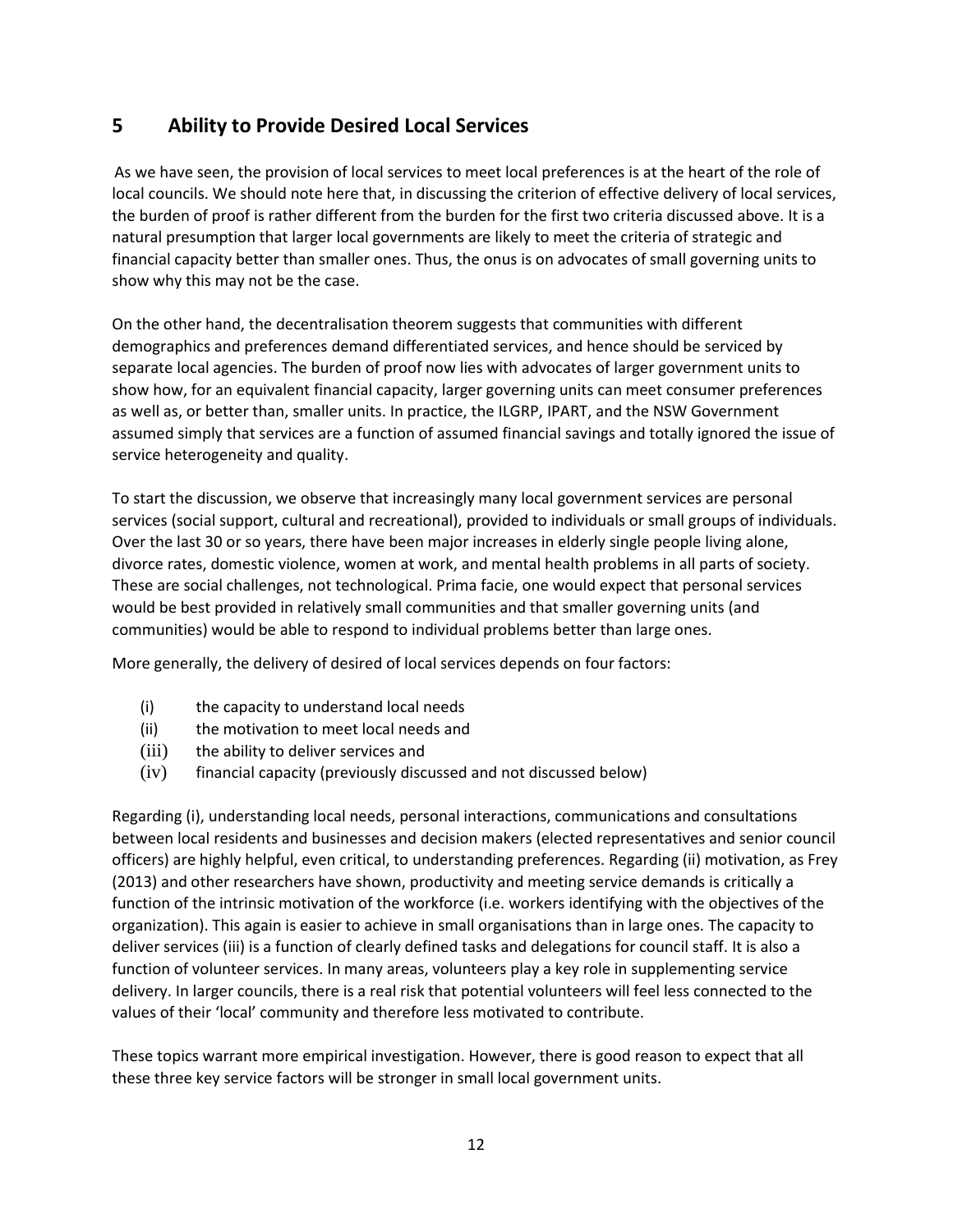# **5 Ability to Provide Desired Local Services**

As we have seen, the provision of local services to meet local preferences is at the heart of the role of local councils. We should note here that, in discussing the criterion of effective delivery of local services, the burden of proof is rather different from the burden for the first two criteria discussed above. It is a natural presumption that larger local governments are likely to meet the criteria of strategic and financial capacity better than smaller ones. Thus, the onus is on advocates of small governing units to show why this may not be the case.

On the other hand, the decentralisation theorem suggests that communities with different demographics and preferences demand differentiated services, and hence should be serviced by separate local agencies. The burden of proof now lies with advocates of larger government units to show how, for an equivalent financial capacity, larger governing units can meet consumer preferences as well as, or better than, smaller units. In practice, the ILGRP, IPART, and the NSW Government assumed simply that services are a function of assumed financial savings and totally ignored the issue of service heterogeneity and quality.

To start the discussion, we observe that increasingly many local government services are personal services (social support, cultural and recreational), provided to individuals or small groups of individuals. Over the last 30 or so years, there have been major increases in elderly single people living alone, divorce rates, domestic violence, women at work, and mental health problems in all parts of society. These are social challenges, not technological. Prima facie, one would expect that personal services would be best provided in relatively small communities and that smaller governing units (and communities) would be able to respond to individual problems better than large ones.

More generally, the delivery of desired of local services depends on four factors:

- (i) the capacity to understand local needs
- (ii) the motivation to meet local needs and
- (iii) the ability to deliver services and
- (iv) financial capacity (previously discussed and not discussed below)

Regarding (i), understanding local needs, personal interactions, communications and consultations between local residents and businesses and decision makers (elected representatives and senior council officers) are highly helpful, even critical, to understanding preferences. Regarding (ii) motivation, as Frey (2013) and other researchers have shown, productivity and meeting service demands is critically a function of the intrinsic motivation of the workforce (i.e. workers identifying with the objectives of the organization). This again is easier to achieve in small organisations than in large ones. The capacity to deliver services (iii) is a function of clearly defined tasks and delegations for council staff. It is also a function of volunteer services. In many areas, volunteers play a key role in supplementing service delivery. In larger councils, there is a real risk that potential volunteers will feel less connected to the values of their 'local' community and therefore less motivated to contribute.

These topics warrant more empirical investigation. However, there is good reason to expect that all these three key service factors will be stronger in small local government units.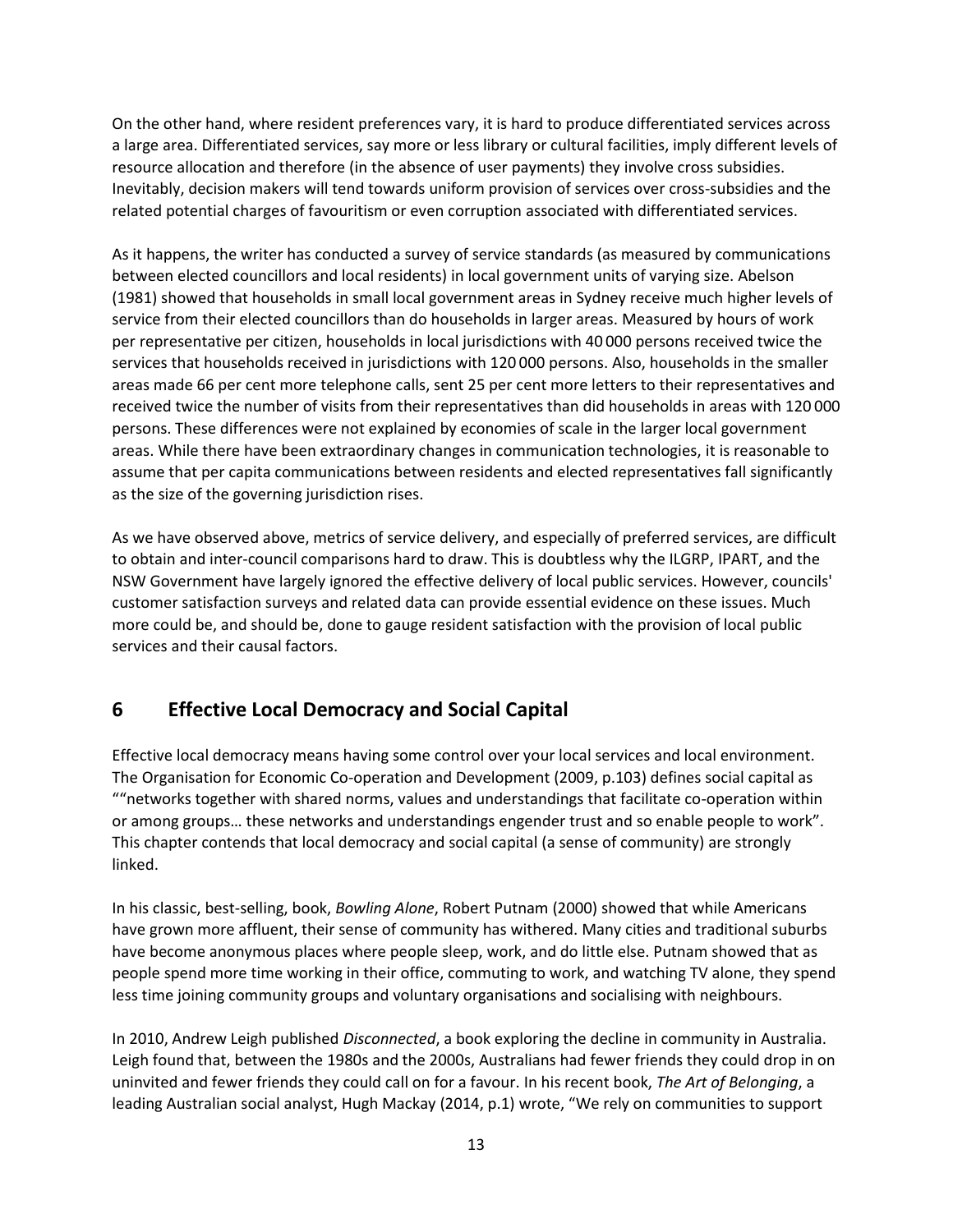On the other hand, where resident preferences vary, it is hard to produce differentiated services across a large area. Differentiated services, say more or less library or cultural facilities, imply different levels of resource allocation and therefore (in the absence of user payments) they involve cross subsidies. Inevitably, decision makers will tend towards uniform provision of services over cross-subsidies and the related potential charges of favouritism or even corruption associated with differentiated services.

As it happens, the writer has conducted a survey of service standards (as measured by communications between elected councillors and local residents) in local government units of varying size. Abelson (1981) showed that households in small local government areas in Sydney receive much higher levels of service from their elected councillors than do households in larger areas. Measured by hours of work per representative per citizen, households in local jurisdictions with 40 000 persons received twice the services that households received in jurisdictions with 120 000 persons. Also, households in the smaller areas made 66 per cent more telephone calls, sent 25 per cent more letters to their representatives and received twice the number of visits from their representatives than did households in areas with 120 000 persons. These differences were not explained by economies of scale in the larger local government areas. While there have been extraordinary changes in communication technologies, it is reasonable to assume that per capita communications between residents and elected representatives fall significantly as the size of the governing jurisdiction rises.

As we have observed above, metrics of service delivery, and especially of preferred services, are difficult to obtain and inter-council comparisons hard to draw. This is doubtless why the ILGRP, IPART, and the NSW Government have largely ignored the effective delivery of local public services. However, councils' customer satisfaction surveys and related data can provide essential evidence on these issues. Much more could be, and should be, done to gauge resident satisfaction with the provision of local public services and their causal factors.

## **6 Effective Local Democracy and Social Capital**

Effective local democracy means having some control over your local services and local environment. The Organisation for Economic Co-operation and Development (2009, p.103) defines social capital as ""networks together with shared norms, values and understandings that facilitate co-operation within or among groups… these networks and understandings engender trust and so enable people to work". This chapter contends that local democracy and social capital (a sense of community) are strongly linked.

In his classic, best-selling, book, *Bowling Alone*, Robert Putnam (2000) showed that while Americans have grown more affluent, their sense of community has withered. Many cities and traditional suburbs have become anonymous places where people sleep, work, and do little else. Putnam showed that as people spend more time working in their office, commuting to work, and watching TV alone, they spend less time joining community groups and voluntary organisations and socialising with neighbours.

In 2010, Andrew Leigh published *Disconnected*, a book exploring the decline in community in Australia. Leigh found that, between the 1980s and the 2000s, Australians had fewer friends they could drop in on uninvited and fewer friends they could call on for a favour. In his recent book, *The Art of Belonging*, a leading Australian social analyst, Hugh Mackay (2014, p.1) wrote, "We rely on communities to support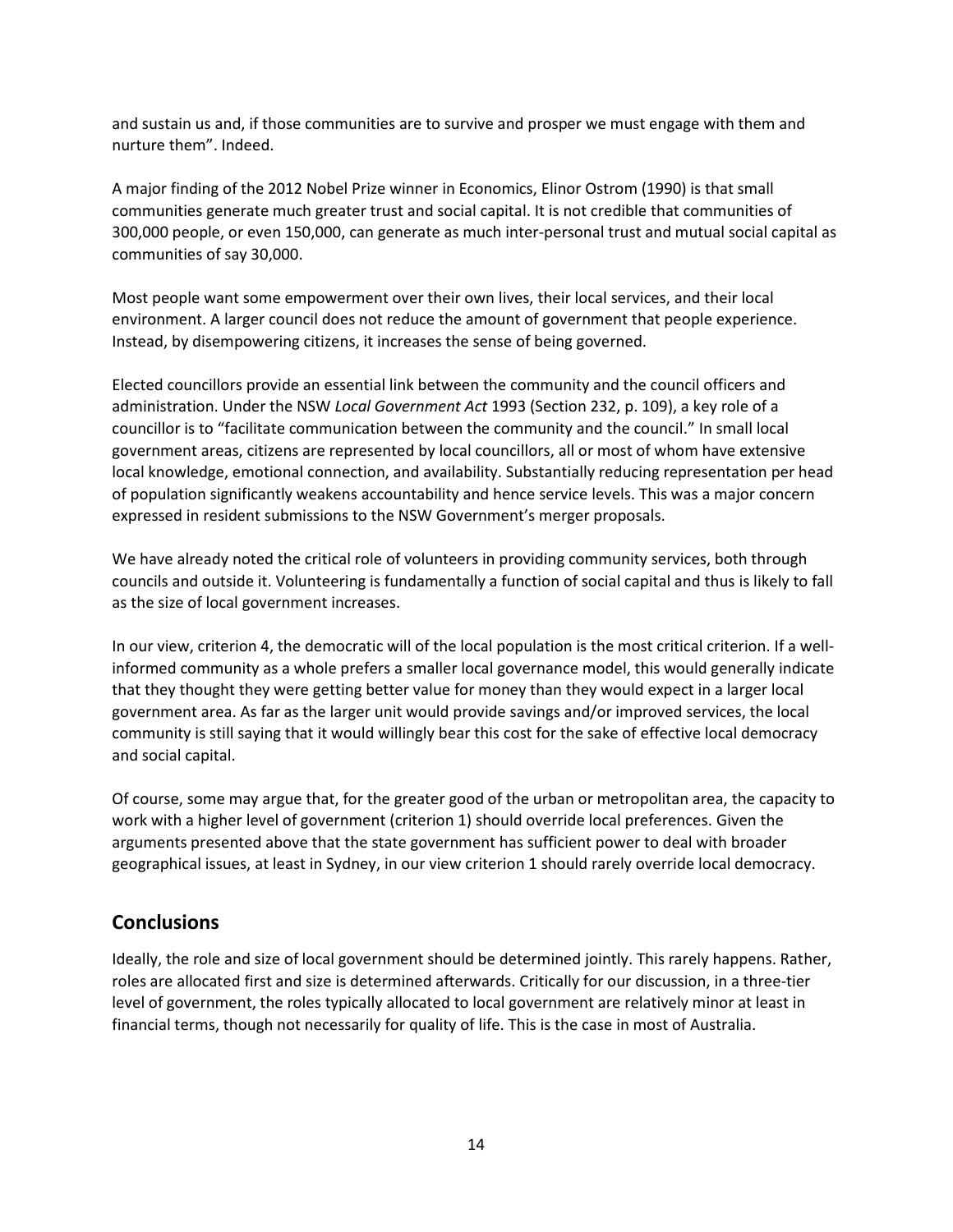and sustain us and, if those communities are to survive and prosper we must engage with them and nurture them". Indeed.

A major finding of the 2012 Nobel Prize winner in Economics, Elinor Ostrom (1990) is that small communities generate much greater trust and social capital. It is not credible that communities of 300,000 people, or even 150,000, can generate as much inter-personal trust and mutual social capital as communities of say 30,000.

Most people want some empowerment over their own lives, their local services, and their local environment. A larger council does not reduce the amount of government that people experience. Instead, by disempowering citizens, it increases the sense of being governed.

Elected councillors provide an essential link between the community and the council officers and administration. Under the NSW *Local Government Act* 1993 (Section 232, p. 109), a key role of a councillor is to "facilitate communication between the community and the council." In small local government areas, citizens are represented by local councillors, all or most of whom have extensive local knowledge, emotional connection, and availability. Substantially reducing representation per head of population significantly weakens accountability and hence service levels. This was a major concern expressed in resident submissions to the NSW Government's merger proposals.

We have already noted the critical role of volunteers in providing community services, both through councils and outside it. Volunteering is fundamentally a function of social capital and thus is likely to fall as the size of local government increases.

In our view, criterion 4, the democratic will of the local population is the most critical criterion. If a wellinformed community as a whole prefers a smaller local governance model, this would generally indicate that they thought they were getting better value for money than they would expect in a larger local government area. As far as the larger unit would provide savings and/or improved services, the local community is still saying that it would willingly bear this cost for the sake of effective local democracy and social capital.

Of course, some may argue that, for the greater good of the urban or metropolitan area, the capacity to work with a higher level of government (criterion 1) should override local preferences. Given the arguments presented above that the state government has sufficient power to deal with broader geographical issues, at least in Sydney, in our view criterion 1 should rarely override local democracy.

### **Conclusions**

Ideally, the role and size of local government should be determined jointly. This rarely happens. Rather, roles are allocated first and size is determined afterwards. Critically for our discussion, in a three-tier level of government, the roles typically allocated to local government are relatively minor at least in financial terms, though not necessarily for quality of life. This is the case in most of Australia.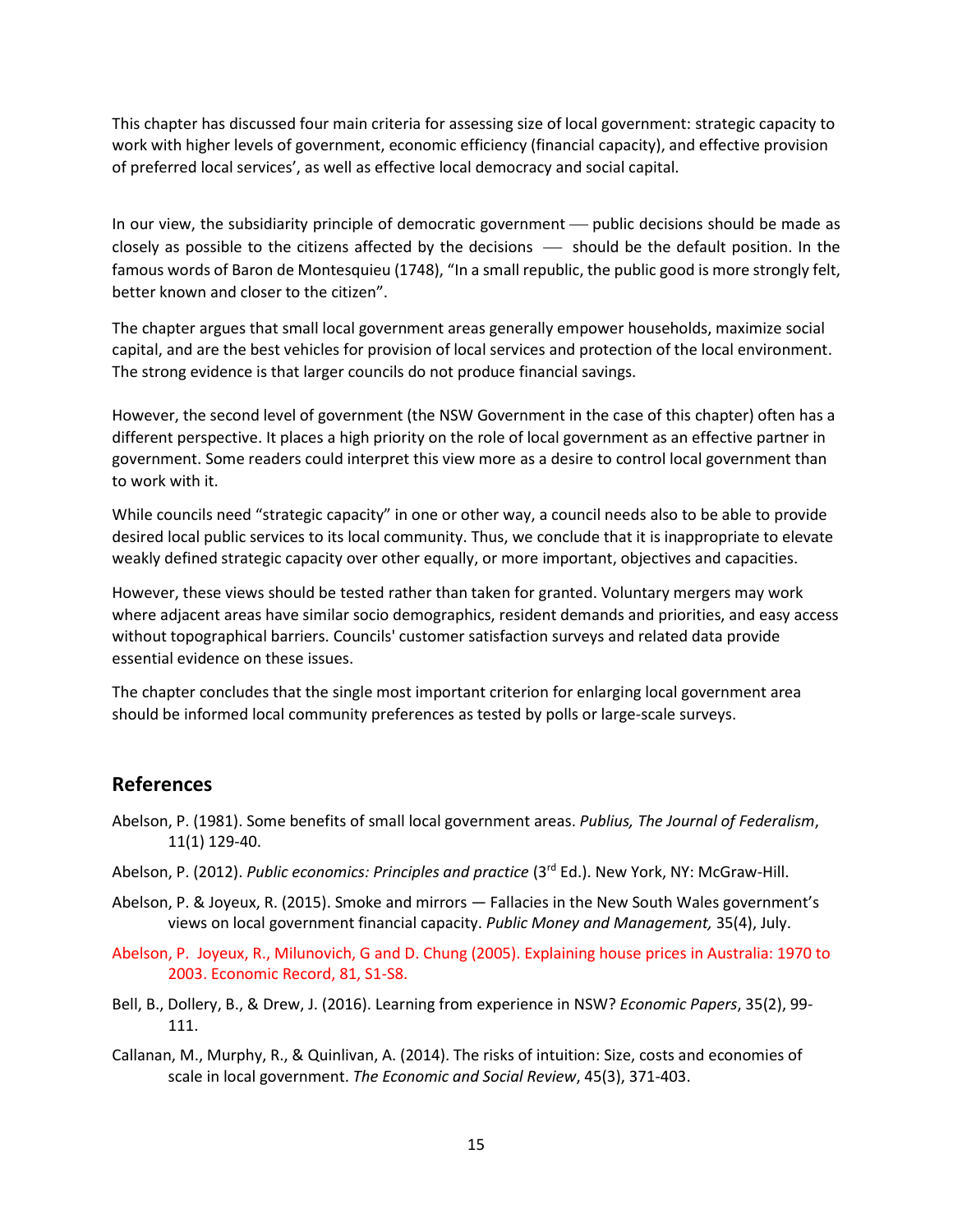This chapter has discussed four main criteria for assessing size of local government: strategic capacity to work with higher levels of government, economic efficiency (financial capacity), and effective provision of preferred local services', as well as effective local democracy and social capital.

In our view, the subsidiarity principle of democratic government  $-$  public decisions should be made as closely as possible to the citizens affected by the decisions  $-$  should be the default position. In the famous words of Baron de Montesquieu (1748), "In a small republic, the public good is more strongly felt, better known and closer to the citizen".

The chapter argues that small local government areas generally empower households, maximize social capital, and are the best vehicles for provision of local services and protection of the local environment. The strong evidence is that larger councils do not produce financial savings.

However, the second level of government (the NSW Government in the case of this chapter) often has a different perspective. It places a high priority on the role of local government as an effective partner in government. Some readers could interpret this view more as a desire to control local government than to work with it.

While councils need "strategic capacity" in one or other way, a council needs also to be able to provide desired local public services to its local community. Thus, we conclude that it is inappropriate to elevate weakly defined strategic capacity over other equally, or more important, objectives and capacities.

However, these views should be tested rather than taken for granted. Voluntary mergers may work where adjacent areas have similar socio demographics, resident demands and priorities, and easy access without topographical barriers. Councils' customer satisfaction surveys and related data provide essential evidence on these issues.

The chapter concludes that the single most important criterion for enlarging local government area should be informed local community preferences as tested by polls or large-scale surveys.

### **References**

- Abelson, P. (1981). Some benefits of small local government areas. *Publius, The Journal of Federalism*, 11(1) 129-40.
- Abelson, P. (2012). *Public economics: Principles and practice* (3rd Ed.). New York, NY: McGraw-Hill.
- Abelson, P. & Joyeux, R. (2015). Smoke and mirrors Fallacies in the New South Wales government's views on local government financial capacity. *Public Money and Management,* 35(4), July.
- Abelson, P. Joyeux, R., Milunovich, G and D. Chung (2005). Explaining house prices in Australia: 1970 to 2003. Economic Record, 81, S1-S8.
- Bell, B., Dollery, B., & Drew, J. (2016). Learning from experience in NSW? *Economic Papers*, 35(2), 99- 111.
- Callanan, M., Murphy, R., & Quinlivan, A. (2014). The risks of intuition: Size, costs and economies of scale in local government. *The Economic and Social Review*, 45(3), 371-403.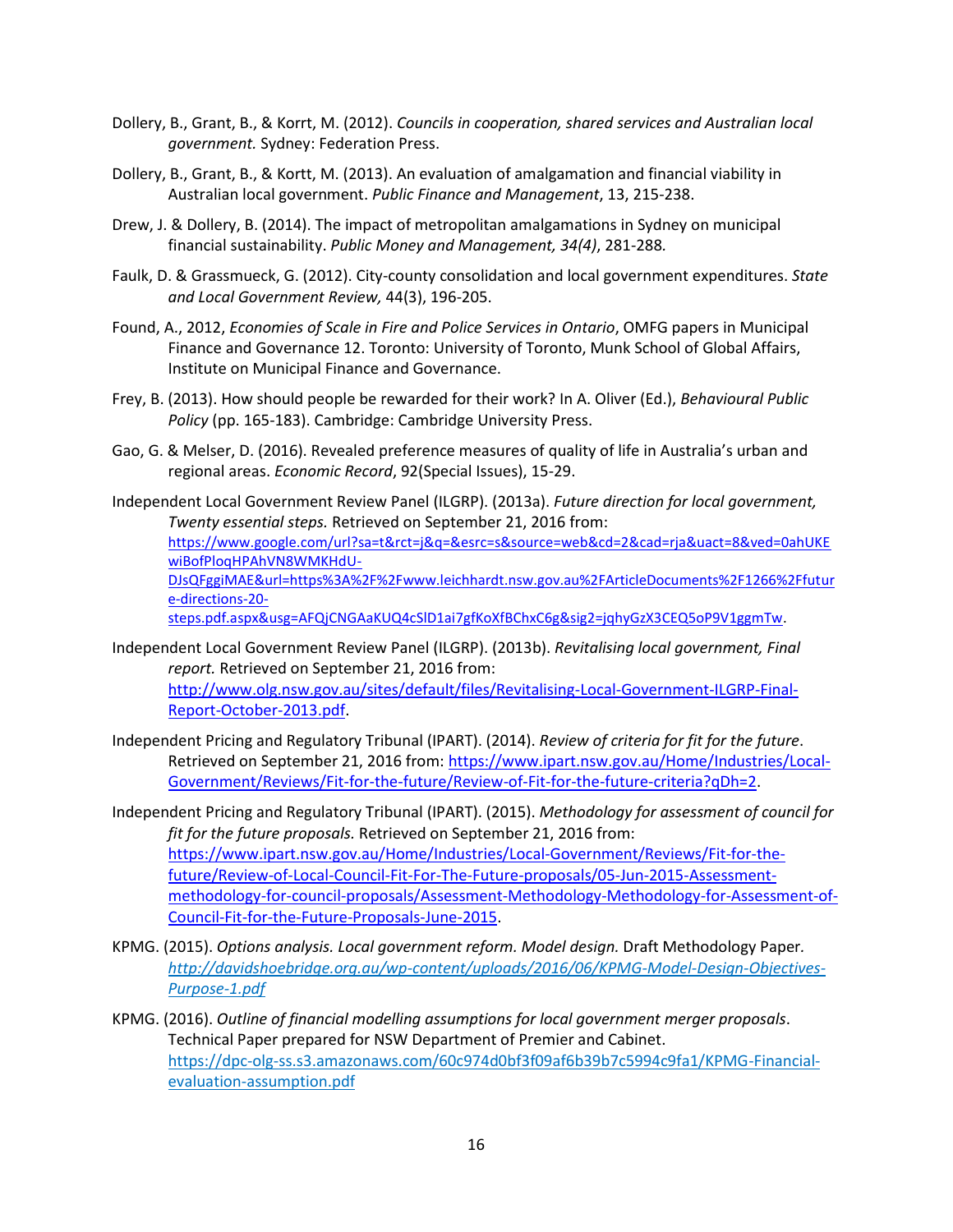- Dollery, B., Grant, B., & Korrt, M. (2012). *Councils in cooperation, shared services and Australian local government.* Sydney: Federation Press.
- Dollery, B., Grant, B., & Kortt, M. (2013). An evaluation of amalgamation and financial viability in Australian local government. *Public Finance and Management*, 13, 215-238.
- Drew, J. & Dollery, B. (2014). The impact of metropolitan amalgamations in Sydney on municipal financial sustainability. *Public Money and Management, 34(4)*, 281-288*.*
- Faulk, D. & Grassmueck, G. (2012). City-county consolidation and local government expenditures. *State and Local Government Review,* 44(3), 196-205.
- Found, A., 2012, *Economies of Scale in Fire and Police Services in Ontario*, OMFG papers in Municipal Finance and Governance 12. Toronto: University of Toronto, Munk School of Global Affairs, Institute on Municipal Finance and Governance.
- Frey, B. (2013). How should people be rewarded for their work? In A. Oliver (Ed.), *Behavioural Public Policy* (pp. 165-183). Cambridge: Cambridge University Press.
- Gao, G. & Melser, D. (2016). Revealed preference measures of quality of life in Australia's urban and regional areas. *Economic Record*, 92(Special Issues), 15-29.
- Independent Local Government Review Panel (ILGRP). (2013a). *Future direction for local government, Twenty essential steps.* Retrieved on September 21, 2016 from: [https://www.google.com/url?sa=t&rct=j&q=&esrc=s&source=web&cd=2&cad=rja&uact=8&ved=0ahUKE](https://www.google.com/url?sa=t&rct=j&q=&esrc=s&source=web&cd=2&cad=rja&uact=8&ved=0ahUKEwiBofPloqHPAhVN8WMKHdU-DJsQFggiMAE&url=https%3A%2F%2Fwww.leichhardt.nsw.gov.au%2FArticleDocuments%2F1266%2Ffuture-directions-20-steps.pdf.aspx&usg=AFQjCNGAaKUQ4cSlD1ai7gfKoXfBChxC6g&sig2=jqhyGzX3CEQ5oP9V1ggmTw)

[wiBofPloqHPAhVN8WMKHdU-](https://www.google.com/url?sa=t&rct=j&q=&esrc=s&source=web&cd=2&cad=rja&uact=8&ved=0ahUKEwiBofPloqHPAhVN8WMKHdU-DJsQFggiMAE&url=https%3A%2F%2Fwww.leichhardt.nsw.gov.au%2FArticleDocuments%2F1266%2Ffuture-directions-20-steps.pdf.aspx&usg=AFQjCNGAaKUQ4cSlD1ai7gfKoXfBChxC6g&sig2=jqhyGzX3CEQ5oP9V1ggmTw)

[DJsQFggiMAE&url=https%3A%2F%2Fwww.leichhardt.nsw.gov.au%2FArticleDocuments%2F1266%2Ffutur](https://www.google.com/url?sa=t&rct=j&q=&esrc=s&source=web&cd=2&cad=rja&uact=8&ved=0ahUKEwiBofPloqHPAhVN8WMKHdU-DJsQFggiMAE&url=https%3A%2F%2Fwww.leichhardt.nsw.gov.au%2FArticleDocuments%2F1266%2Ffuture-directions-20-steps.pdf.aspx&usg=AFQjCNGAaKUQ4cSlD1ai7gfKoXfBChxC6g&sig2=jqhyGzX3CEQ5oP9V1ggmTw) [e-directions-20-](https://www.google.com/url?sa=t&rct=j&q=&esrc=s&source=web&cd=2&cad=rja&uact=8&ved=0ahUKEwiBofPloqHPAhVN8WMKHdU-DJsQFggiMAE&url=https%3A%2F%2Fwww.leichhardt.nsw.gov.au%2FArticleDocuments%2F1266%2Ffuture-directions-20-steps.pdf.aspx&usg=AFQjCNGAaKUQ4cSlD1ai7gfKoXfBChxC6g&sig2=jqhyGzX3CEQ5oP9V1ggmTw)

[steps.pdf.aspx&usg=AFQjCNGAaKUQ4cSlD1ai7gfKoXfBChxC6g&sig2=jqhyGzX3CEQ5oP9V1ggmTw.](https://www.google.com/url?sa=t&rct=j&q=&esrc=s&source=web&cd=2&cad=rja&uact=8&ved=0ahUKEwiBofPloqHPAhVN8WMKHdU-DJsQFggiMAE&url=https%3A%2F%2Fwww.leichhardt.nsw.gov.au%2FArticleDocuments%2F1266%2Ffuture-directions-20-steps.pdf.aspx&usg=AFQjCNGAaKUQ4cSlD1ai7gfKoXfBChxC6g&sig2=jqhyGzX3CEQ5oP9V1ggmTw)

- Independent Local Government Review Panel (ILGRP). (2013b). *Revitalising local government, Final report.* Retrieved on September 21, 2016 from: [http://www.olg.nsw.gov.au/sites/default/files/Revitalising-Local-Government-ILGRP-Final-](http://www.olg.nsw.gov.au/sites/default/files/Revitalising-Local-Government-ILGRP-Final-Report-October-2013.pdf)[Report-October-2013.pdf.](http://www.olg.nsw.gov.au/sites/default/files/Revitalising-Local-Government-ILGRP-Final-Report-October-2013.pdf)
- Independent Pricing and Regulatory Tribunal (IPART). (2014). *Review of criteria for fit for the future*. Retrieved on September 21, 2016 from: [https://www.ipart.nsw.gov.au/Home/Industries/Local-](https://www.ipart.nsw.gov.au/Home/Industries/Local-Government/Reviews/Fit-for-the-future/Review-of-Fit-for-the-future-criteria?qDh=2)[Government/Reviews/Fit-for-the-future/Review-of-Fit-for-the-future-criteria?qDh=2.](https://www.ipart.nsw.gov.au/Home/Industries/Local-Government/Reviews/Fit-for-the-future/Review-of-Fit-for-the-future-criteria?qDh=2)
- Independent Pricing and Regulatory Tribunal (IPART). (2015). *Methodology for assessment of council for fit for the future proposals.* Retrieved on September 21, 2016 from: [https://www.ipart.nsw.gov.au/Home/Industries/Local-Government/Reviews/Fit-for-the](https://www.ipart.nsw.gov.au/Home/Industries/Local-Government/Reviews/Fit-for-the-future/Review-of-Local-Council-Fit-For-The-Future-proposals/05-Jun-2015-Assessment-methodology-for-council-proposals/Assessment-Methodology-Methodology-for-Assessment-of-Council-Fit-for-the-Future-Proposals-June-2015)[future/Review-of-Local-Council-Fit-For-The-Future-proposals/05-Jun-2015-Assessment](https://www.ipart.nsw.gov.au/Home/Industries/Local-Government/Reviews/Fit-for-the-future/Review-of-Local-Council-Fit-For-The-Future-proposals/05-Jun-2015-Assessment-methodology-for-council-proposals/Assessment-Methodology-Methodology-for-Assessment-of-Council-Fit-for-the-Future-Proposals-June-2015)[methodology-for-council-proposals/Assessment-Methodology-Methodology-for-Assessment-of-](https://www.ipart.nsw.gov.au/Home/Industries/Local-Government/Reviews/Fit-for-the-future/Review-of-Local-Council-Fit-For-The-Future-proposals/05-Jun-2015-Assessment-methodology-for-council-proposals/Assessment-Methodology-Methodology-for-Assessment-of-Council-Fit-for-the-Future-Proposals-June-2015)[Council-Fit-for-the-Future-Proposals-June-2015.](https://www.ipart.nsw.gov.au/Home/Industries/Local-Government/Reviews/Fit-for-the-future/Review-of-Local-Council-Fit-For-The-Future-proposals/05-Jun-2015-Assessment-methodology-for-council-proposals/Assessment-Methodology-Methodology-for-Assessment-of-Council-Fit-for-the-Future-Proposals-June-2015)
- KPMG. (2015). *Options analysis. Local government reform. Model design.* Draft Methodology Paper*. http://davidshoebridge.org.au/wp-content/uploads/2016/06/KPMG-Model-Design-Objectives-Purpose-1.pdf*
- KPMG. (2016). *Outline of financial modelling assumptions for local government merger proposals*. Technical Paper prepared for NSW Department of Premier and Cabinet. https://dpc-olg-ss.s3.amazonaws.com/60c974d0bf3f09af6b39b7c5994c9fa1/KPMG-Financialevaluation-assumption.pdf